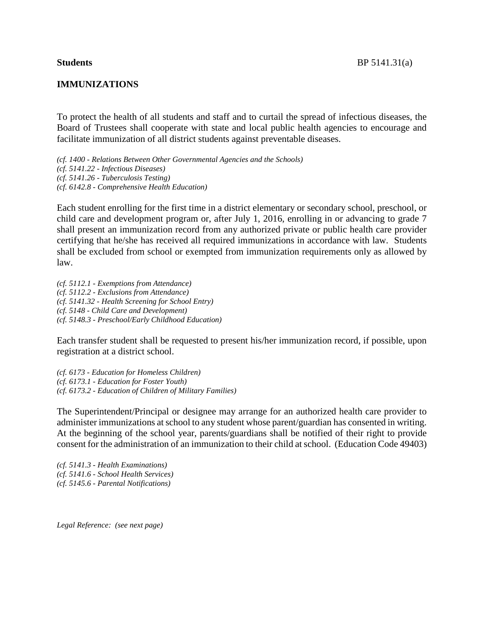### **IMMUNIZATIONS**

To protect the health of all students and staff and to curtail the spread of infectious diseases, the Board of Trustees shall cooperate with state and local public health agencies to encourage and facilitate immunization of all district students against preventable diseases.

*(cf. 1400 - Relations Between Other Governmental Agencies and the Schools) (cf. 5141.22 - Infectious Diseases) (cf. 5141.26 - Tuberculosis Testing) (cf. 6142.8 - Comprehensive Health Education)*

Each student enrolling for the first time in a district elementary or secondary school, preschool, or child care and development program or, after July 1, 2016, enrolling in or advancing to grade 7 shall present an immunization record from any authorized private or public health care provider certifying that he/she has received all required immunizations in accordance with law. Students shall be excluded from school or exempted from immunization requirements only as allowed by law.

*(cf. 5112.1 - Exemptions from Attendance) (cf. 5112.2 - Exclusions from Attendance) (cf. 5141.32 - Health Screening for School Entry) (cf. 5148 - Child Care and Development) (cf. 5148.3 - Preschool/Early Childhood Education)*

Each transfer student shall be requested to present his/her immunization record, if possible, upon registration at a district school.

*(cf. 6173 - Education for Homeless Children) (cf. 6173.1 - Education for Foster Youth) (cf. 6173.2 - Education of Children of Military Families)*

The Superintendent/Principal or designee may arrange for an authorized health care provider to administer immunizations atschool to any student whose parent/guardian has consented in writing. At the beginning of the school year, parents/guardians shall be notified of their right to provide consent for the administration of an immunization to their child atschool. (Education Code 49403)

*(cf. 5141.3 - Health Examinations) (cf. 5141.6 - School Health Services) (cf. 5145.6 - Parental Notifications)*

*Legal Reference: (see next page)*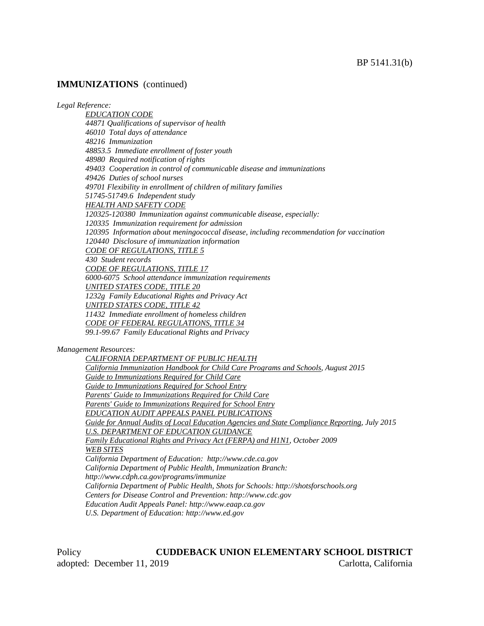*Legal Reference:*

*EDUCATION CODE 44871 Qualifications of supervisor of health 46010 Total days of attendance 48216 Immunization 48853.5 Immediate enrollment of foster youth 48980 Required notification of rights 49403 Cooperation in control of communicable disease and immunizations 49426 Duties of school nurses 49701 Flexibility in enrollment of children of military families 51745-51749.6 Independent study HEALTH AND SAFETY CODE 120325-120380 Immunization against communicable disease, especially: 120335 Immunization requirement for admission 120395 Information about meningococcal disease, including recommendation for vaccination 120440 Disclosure of immunization information CODE OF REGULATIONS, TITLE 5 430 Student records CODE OF REGULATIONS, TITLE 17 6000-6075 School attendance immunization requirements UNITED STATES CODE, TITLE 20 1232g Family Educational Rights and Privacy Act UNITED STATES CODE, TITLE 42 11432 Immediate enrollment of homeless children CODE OF FEDERAL REGULATIONS, TITLE 34 99.1-99.67 Family Educational Rights and Privacy Management Resources: CALIFORNIA DEPARTMENT OF PUBLIC HEALTH California Immunization Handbook for Child Care Programs and Schools, August 2015 Guide to Immunizations Required for Child Care Guide to Immunizations Required for School Entry Parents' Guide to Immunizations Required for Child Care Parents' Guide to Immunizations Required for School Entry EDUCATION AUDIT APPEALS PANEL PUBLICATIONS*

*Guide for Annual Audits of Local Education Agencies and State Compliance Reporting, July 2015 U.S. DEPARTMENT OF EDUCATION GUIDANCE Family Educational Rights and Privacy Act (FERPA) and H1N1, October 2009 WEB SITES California Department of Education: http://www.cde.ca.gov California Department of Public Health, Immunization Branch: http://www.cdph.ca.gov/programs/immunize California Department of Public Health, Shots for Schools: http://shotsforschools.org Centers for Disease Control and Prevention: http://www.cdc.gov*

*Education Audit Appeals Panel: http://www.eaap.ca.gov*

*U.S. Department of Education: http://www.ed.gov*

Policy **CUDDEBACK UNION ELEMENTARY SCHOOL DISTRICT** adopted: December 11, 2019 Carlotta, California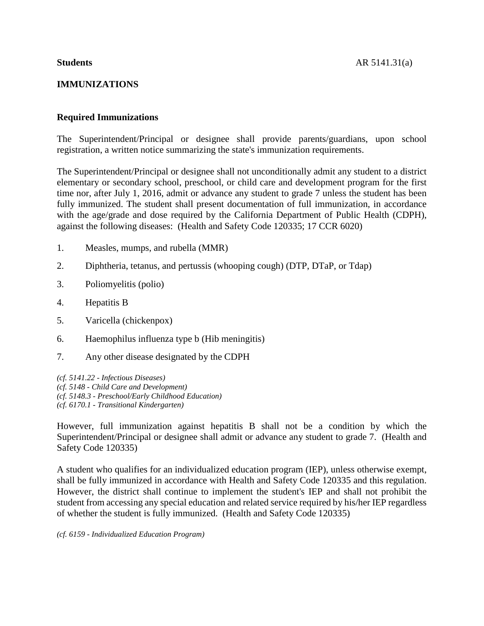# **IMMUNIZATIONS**

# **Required Immunizations**

The Superintendent/Principal or designee shall provide parents/guardians, upon school registration, a written notice summarizing the state's immunization requirements.

The Superintendent/Principal or designee shall not unconditionally admit any student to a district elementary or secondary school, preschool, or child care and development program for the first time nor, after July 1, 2016, admit or advance any student to grade 7 unless the student has been fully immunized. The student shall present documentation of full immunization, in accordance with the age/grade and dose required by the California Department of Public Health (CDPH), against the following diseases: (Health and Safety Code 120335; 17 CCR 6020)

- 1. Measles, mumps, and rubella (MMR)
- 2. Diphtheria, tetanus, and pertussis (whooping cough) (DTP, DTaP, or Tdap)
- 3. Poliomyelitis (polio)
- 4. Hepatitis B
- 5. Varicella (chickenpox)
- 6. Haemophilus influenza type b (Hib meningitis)
- 7. Any other disease designated by the CDPH

*(cf. 5141.22 - Infectious Diseases) (cf. 5148 - Child Care and Development) (cf. 5148.3 - Preschool/Early Childhood Education) (cf. 6170.1 - Transitional Kindergarten)*

However, full immunization against hepatitis B shall not be a condition by which the Superintendent/Principal or designee shall admit or advance any student to grade 7. (Health and Safety Code 120335)

A student who qualifies for an individualized education program (IEP), unless otherwise exempt, shall be fully immunized in accordance with Health and Safety Code 120335 and this regulation. However, the district shall continue to implement the student's IEP and shall not prohibit the student from accessing any special education and related service required by his/her IEP regardless of whether the student is fully immunized. (Health and Safety Code 120335)

*(cf. 6159 - Individualized Education Program)*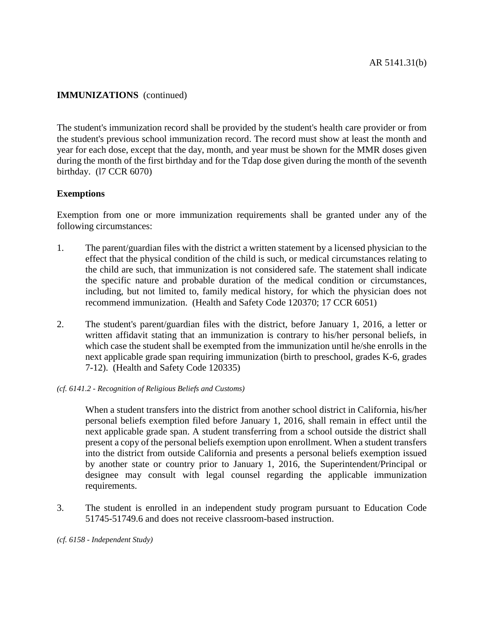The student's immunization record shall be provided by the student's health care provider or from the student's previous school immunization record. The record must show at least the month and year for each dose, except that the day, month, and year must be shown for the MMR doses given during the month of the first birthday and for the Tdap dose given during the month of the seventh birthday. (l7 CCR 6070)

## **Exemptions**

Exemption from one or more immunization requirements shall be granted under any of the following circumstances:

- 1. The parent/guardian files with the district a written statement by a licensed physician to the effect that the physical condition of the child is such, or medical circumstances relating to the child are such, that immunization is not considered safe. The statement shall indicate the specific nature and probable duration of the medical condition or circumstances, including, but not limited to, family medical history, for which the physician does not recommend immunization. (Health and Safety Code 120370; 17 CCR 6051)
- 2. The student's parent/guardian files with the district, before January 1, 2016, a letter or written affidavit stating that an immunization is contrary to his/her personal beliefs, in which case the student shall be exempted from the immunization until he/she enrolls in the next applicable grade span requiring immunization (birth to preschool, grades K-6, grades 7-12). (Health and Safety Code 120335)
- *(cf. 6141.2 - Recognition of Religious Beliefs and Customs)*

When a student transfers into the district from another school district in California, his/her personal beliefs exemption filed before January 1, 2016, shall remain in effect until the next applicable grade span. A student transferring from a school outside the district shall present a copy of the personal beliefs exemption upon enrollment. When a student transfers into the district from outside California and presents a personal beliefs exemption issued by another state or country prior to January 1, 2016, the Superintendent/Principal or designee may consult with legal counsel regarding the applicable immunization requirements.

3. The student is enrolled in an independent study program pursuant to Education Code 51745-51749.6 and does not receive classroom-based instruction.

*(cf. 6158 - Independent Study)*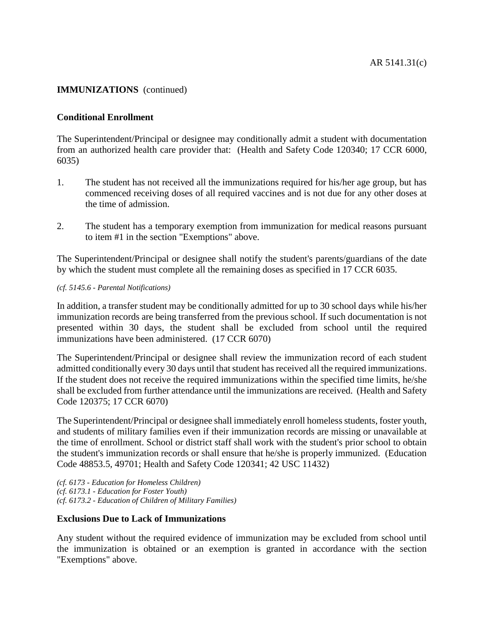## **Conditional Enrollment**

The Superintendent/Principal or designee may conditionally admit a student with documentation from an authorized health care provider that: (Health and Safety Code 120340; 17 CCR 6000, 6035)

- 1. The student has not received all the immunizations required for his/her age group, but has commenced receiving doses of all required vaccines and is not due for any other doses at the time of admission.
- 2. The student has a temporary exemption from immunization for medical reasons pursuant to item #1 in the section "Exemptions" above.

The Superintendent/Principal or designee shall notify the student's parents/guardians of the date by which the student must complete all the remaining doses as specified in 17 CCR 6035.

#### *(cf. 5145.6 - Parental Notifications)*

In addition, a transfer student may be conditionally admitted for up to 30 school days while his/her immunization records are being transferred from the previous school. If such documentation is not presented within 30 days, the student shall be excluded from school until the required immunizations have been administered. (17 CCR 6070)

The Superintendent/Principal or designee shall review the immunization record of each student admitted conditionally every 30 days until that student has received all the required immunizations. If the student does not receive the required immunizations within the specified time limits, he/she shall be excluded from further attendance until the immunizations are received. (Health and Safety Code 120375; 17 CCR 6070)

The Superintendent/Principal or designee shall immediately enroll homelessstudents, foster youth, and students of military families even if their immunization records are missing or unavailable at the time of enrollment. School or district staff shall work with the student's prior school to obtain the student's immunization records or shall ensure that he/she is properly immunized. (Education Code 48853.5, 49701; Health and Safety Code 120341; 42 USC 11432)

*(cf. 6173 - Education for Homeless Children) (cf. 6173.1 - Education for Foster Youth) (cf. 6173.2 - Education of Children of Military Families)*

## **Exclusions Due to Lack of Immunizations**

Any student without the required evidence of immunization may be excluded from school until the immunization is obtained or an exemption is granted in accordance with the section "Exemptions" above.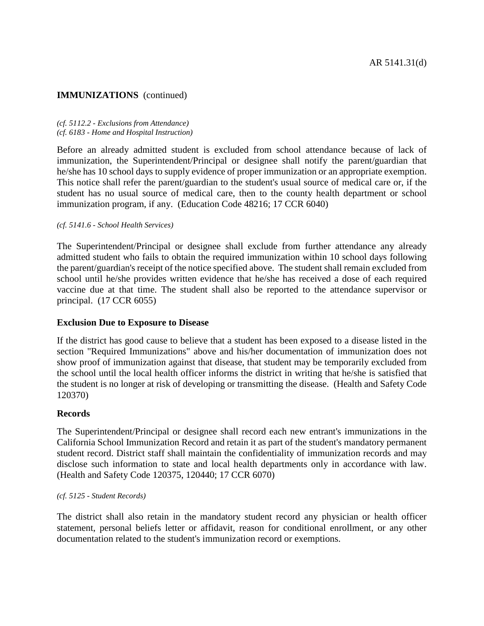#### *(cf. 5112.2 - Exclusions from Attendance) (cf. 6183 - Home and Hospital Instruction)*

Before an already admitted student is excluded from school attendance because of lack of immunization, the Superintendent/Principal or designee shall notify the parent/guardian that he/she has 10 school days to supply evidence of proper immunization or an appropriate exemption. This notice shall refer the parent/guardian to the student's usual source of medical care or, if the student has no usual source of medical care, then to the county health department or school immunization program, if any. (Education Code 48216; 17 CCR 6040)

### *(cf. 5141.6 - School Health Services)*

The Superintendent/Principal or designee shall exclude from further attendance any already admitted student who fails to obtain the required immunization within 10 school days following the parent/guardian's receipt of the notice specified above. The student shall remain excluded from school until he/she provides written evidence that he/she has received a dose of each required vaccine due at that time. The student shall also be reported to the attendance supervisor or principal. (17 CCR 6055)

## **Exclusion Due to Exposure to Disease**

If the district has good cause to believe that a student has been exposed to a disease listed in the section "Required Immunizations" above and his/her documentation of immunization does not show proof of immunization against that disease, that student may be temporarily excluded from the school until the local health officer informs the district in writing that he/she is satisfied that the student is no longer at risk of developing or transmitting the disease. (Health and Safety Code 120370)

## **Records**

The Superintendent/Principal or designee shall record each new entrant's immunizations in the California School Immunization Record and retain it as part of the student's mandatory permanent student record. District staff shall maintain the confidentiality of immunization records and may disclose such information to state and local health departments only in accordance with law. (Health and Safety Code 120375, 120440; 17 CCR 6070)

### *(cf. 5125 - Student Records)*

The district shall also retain in the mandatory student record any physician or health officer statement, personal beliefs letter or affidavit, reason for conditional enrollment, or any other documentation related to the student's immunization record or exemptions.